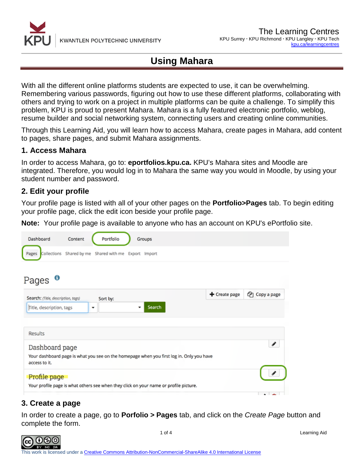

With all the different online platforms students are expected to use, it can be overwhelming. Remembering various passwords, figuring out how to use these different platforms, collaborating with others and trying to work on a project in multiple platforms can be quite a challenge. To simplify this problem, KPU is proud to present Mahara. Mahara is a fully featured electronic portfolio, weblog, resume builder and social networking system, connecting users and creating online communities.

Through this Learning Aid, you will learn how to access Mahara, create pages in Mahara, add content to pages, share pages, and submit Mahara assignments.

#### **1. Access Mahara**

In order to access Mahara, go to: **eportfolios.kpu.ca.** KPU's Mahara sites and Moodle are integrated. Therefore, you would log in to Mahara the same way you would in Moodle, by using your student number and password.

#### **2. Edit your profile**

Your profile page is listed with all of your other pages on the **Portfolio>Pages** tab. To begin editing your profile page, click the edit icon beside your profile page.

**Note:** Your profile page is available to anyone who has an account on KPU's ePortfolio site.

| Dashboard                          | Content | Portfolio                                             | Groups                                                                                   |               |             |
|------------------------------------|---------|-------------------------------------------------------|------------------------------------------------------------------------------------------|---------------|-------------|
| Pages                              |         | Collections Shared by me Shared with me Export Import |                                                                                          |               |             |
| O<br>Pages                         |         |                                                       |                                                                                          |               |             |
| Search: (Title, description, tags) |         | Sort by:                                              |                                                                                          | + Create page | Copy a page |
| Title, description, tags           |         | ۰                                                     | Search<br>۰                                                                              |               |             |
| Results                            |         |                                                       |                                                                                          |               |             |
| Dashboard page                     |         |                                                       |                                                                                          |               | ℐ           |
| access to it.                      |         |                                                       | Your dashboard page is what you see on the homepage when you first log in. Only you have |               |             |
| Profile page                       |         |                                                       |                                                                                          |               |             |
|                                    |         |                                                       | Your profile page is what others see when they click on your name or profile picture.    |               |             |

### **3. Create a page**

In order to create a page, go to **Porfolio > Pages** tab, and click on the *Create Page* button and complete the form.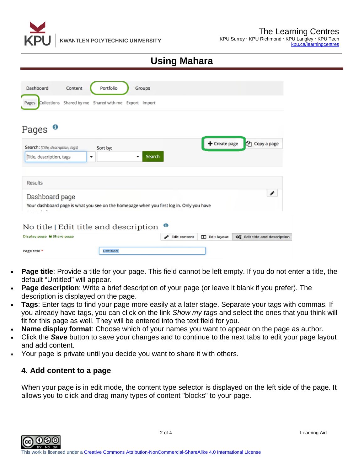

| Dashboard                             | Content                                               | Portfolio       | Groups      |                                                                                          |                       |                               |
|---------------------------------------|-------------------------------------------------------|-----------------|-------------|------------------------------------------------------------------------------------------|-----------------------|-------------------------------|
| Pages                                 | Collections Shared by me Shared with me Export Import |                 |             |                                                                                          |                       |                               |
|                                       |                                                       |                 |             |                                                                                          |                       |                               |
| O<br>Pages                            |                                                       |                 |             |                                                                                          |                       |                               |
| Search: (Title, description, tags)    |                                                       | Sort by:        |             |                                                                                          | $+$ Create page       | <b><i>C</i></b> Copy a page   |
| Title, description, tags              | ۰                                                     |                 | Search<br>۰ |                                                                                          |                       |                               |
|                                       |                                                       |                 |             |                                                                                          |                       |                               |
| Results                               |                                                       |                 |             |                                                                                          |                       |                               |
| Dashboard page                        |                                                       |                 |             |                                                                                          |                       | ℐ                             |
| والمتواصل والمتحدث                    |                                                       |                 |             | Your dashboard page is what you see on the homepage when you first log in. Only you have |                       |                               |
| No title   Edit title and description |                                                       |                 |             | €                                                                                        |                       |                               |
| Display page & Share page             |                                                       |                 |             | <b>Edit content</b><br>v                                                                 | <b>TT</b> Edit layout | Co Edit title and description |
| Page title *                          |                                                       | <b>Untitled</b> |             |                                                                                          |                       |                               |

- **Page title**: Provide a title for your page. This field cannot be left empty. If you do not enter a title, the default "Untitled" will appear.
- **Page description**: Write a brief description of your page (or leave it blank if you prefer). The description is displayed on the page.
- **Tags**: Enter tags to find your page more easily at a later stage. Separate your tags with commas. If you already have tags, you can click on the link *Show my tags* and select the ones that you think will fit for this page as well. They will be entered into the text field for you.
- **Name display format:** Choose which of your names you want to appear on the page as author.
- Click the *Save* button to save your changes and to continue to the next tabs to edit your page layout and add content.
- Your page is private until you decide you want to share it with others.

#### **4. Add content to a page**

When your page is in edit mode, the content type selector is displayed on the left side of the page. It allows you to click and drag many types of content "blocks" to your page.

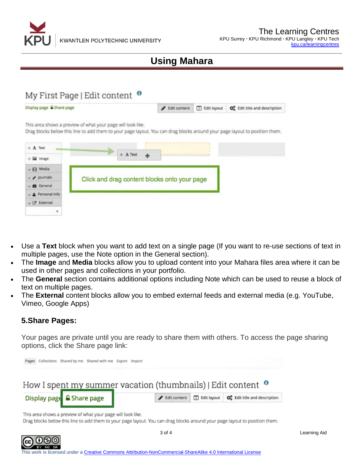

### My First Page | Edit content <sup>o</sup>

Display page & Share page Fdit content **D** Edit layout O<sub>o</sub><sup>o</sup></sup> Edit title and description

This area shows a preview of what your page will look like.

Drag blocks below this line to add them to your page layout. You can drag blocks around your page layout to position them.

| $+$ A Text                     |            |                     |                                              |  |
|--------------------------------|------------|---------------------|----------------------------------------------|--|
| + E image                      | $+$ A Text | $\ddot{\textbf{r}}$ | <b>***************</b>                       |  |
| $\vee$ $\Box$ Media            |            |                     |                                              |  |
| $\vee$ / Journals              |            |                     | Click and drag content blocks onto your page |  |
| $\vee$ <b>B</b> General        |            |                     |                                              |  |
| Personal info                  |            |                     |                                              |  |
| $\vee$ $\mathbb{C}^*$ External |            |                     |                                              |  |
|                                |            |                     |                                              |  |

- Use a **Text** block when you want to add text on a single page (If you want to re-use sections of text in multiple pages, use the Note option in the General section).
- The **Image** and **Media** blocks allow you to upload content into your Mahara files area where it can be used in other pages and collections in your portfolio.
- The **General** section contains additional options including Note which can be used to reuse a block of text on multiple pages.
- The **External** content blocks allow you to embed external feeds and external media (e.g. YouTube, Vimeo, Google Apps)

### **5.Share Pages:**

Your pages are private until you are ready to share them with others. To access the page sharing options, click the Share page link:



Drag blocks below this line to add them to your page layout. You can drag blocks around your page layout to position them.